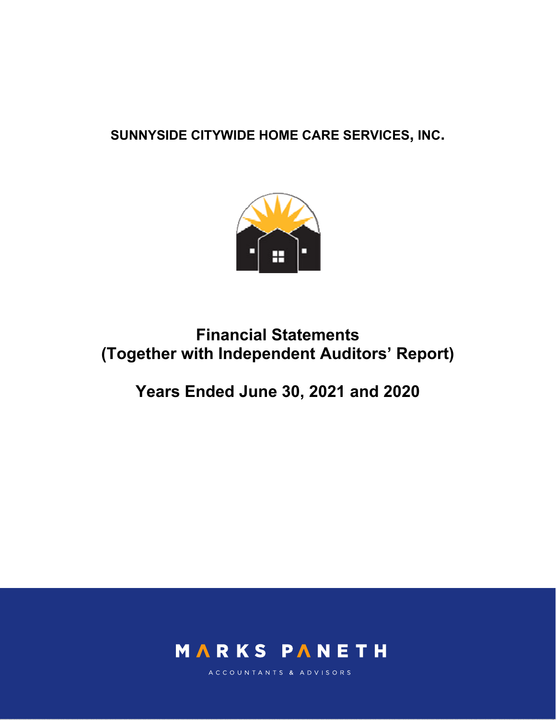**SUNNYSIDE CITYWIDE HOME CARE SERVICES, INC.** 



# **Financial Statements (Together with Independent Auditors' Report)**

# **Years Ended June 30, 2021 and 2020**



ACCOUNTANTS & ADVISORS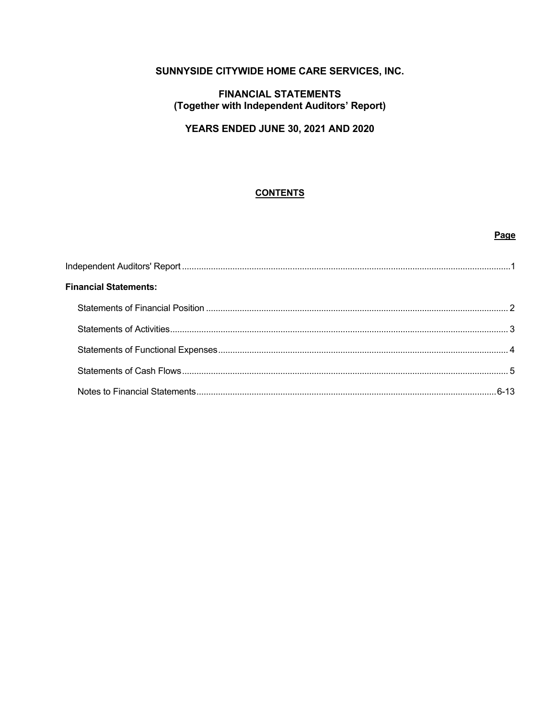# SUNNYSIDE CITYWIDE HOME CARE SERVICES, INC.

# **FINANCIAL STATEMENTS** (Together with Independent Auditors' Report)

# **YEARS ENDED JUNE 30, 2021 AND 2020**

# **CONTENTS**

# Page

| <b>Financial Statements:</b> |  |
|------------------------------|--|
|                              |  |
|                              |  |
|                              |  |
|                              |  |
|                              |  |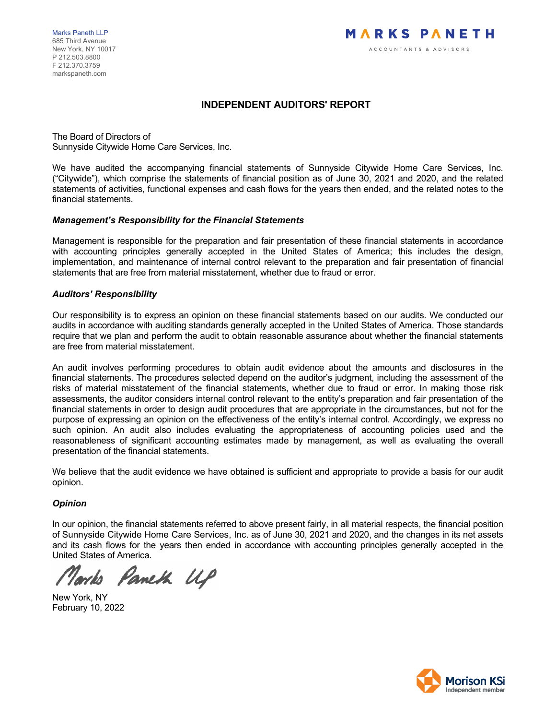# **INDEPENDENT AUDITORS' REPORT**

The Board of Directors of Sunnyside Citywide Home Care Services, Inc.

We have audited the accompanying financial statements of Sunnyside Citywide Home Care Services, Inc. ("Citywide"), which comprise the statements of financial position as of June 30, 2021 and 2020, and the related statements of activities, functional expenses and cash flows for the years then ended, and the related notes to the financial statements.

#### *Management's Responsibility for the Financial Statements*

Management is responsible for the preparation and fair presentation of these financial statements in accordance with accounting principles generally accepted in the United States of America; this includes the design, implementation, and maintenance of internal control relevant to the preparation and fair presentation of financial statements that are free from material misstatement, whether due to fraud or error.

#### *Auditors' Responsibility*

Our responsibility is to express an opinion on these financial statements based on our audits. We conducted our audits in accordance with auditing standards generally accepted in the United States of America. Those standards require that we plan and perform the audit to obtain reasonable assurance about whether the financial statements are free from material misstatement.

An audit involves performing procedures to obtain audit evidence about the amounts and disclosures in the financial statements. The procedures selected depend on the auditor's judgment, including the assessment of the risks of material misstatement of the financial statements, whether due to fraud or error. In making those risk assessments, the auditor considers internal control relevant to the entity's preparation and fair presentation of the financial statements in order to design audit procedures that are appropriate in the circumstances, but not for the purpose of expressing an opinion on the effectiveness of the entity's internal control. Accordingly, we express no such opinion. An audit also includes evaluating the appropriateness of accounting policies used and the reasonableness of significant accounting estimates made by management, as well as evaluating the overall presentation of the financial statements.

We believe that the audit evidence we have obtained is sufficient and appropriate to provide a basis for our audit opinion.

#### *Opinion*

In our opinion, the financial statements referred to above present fairly, in all material respects, the financial position of Sunnyside Citywide Home Care Services, Inc. as of June 30, 2021 and 2020, and the changes in its net assets and its cash flows for the years then ended in accordance with accounting principles generally accepted in the United States of America.

Paneth UP

New York, NY February 10, 2022

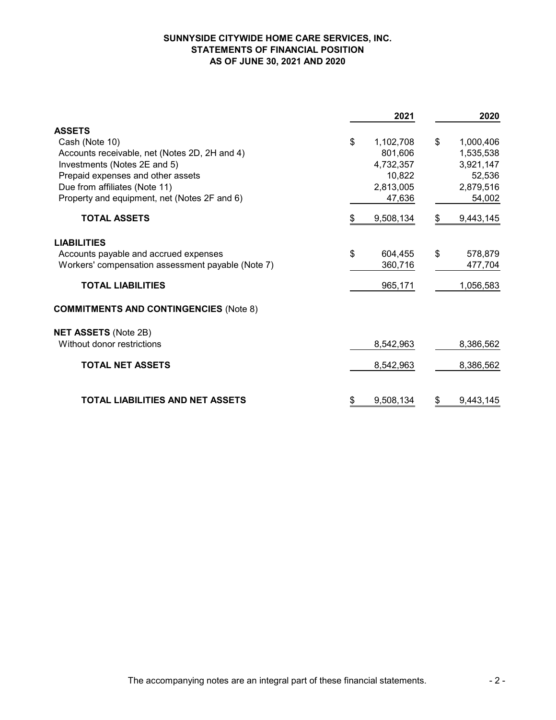# SUNNYSIDE CITYWIDE HOME CARE SERVICES, INC. STATEMENTS OF FINANCIAL POSITION AS OF JUNE 30, 2021 AND 2020

|                                                   |    | 2021      |    | 2020      |
|---------------------------------------------------|----|-----------|----|-----------|
| <b>ASSETS</b>                                     |    |           |    |           |
| Cash (Note 10)                                    | \$ | 1,102,708 | \$ | 1,000,406 |
| Accounts receivable, net (Notes 2D, 2H and 4)     |    | 801,606   |    | 1,535,538 |
| Investments (Notes 2E and 5)                      |    | 4,732,357 |    | 3,921,147 |
| Prepaid expenses and other assets                 |    | 10,822    |    | 52,536    |
| Due from affiliates (Note 11)                     |    | 2,813,005 |    | 2,879,516 |
| Property and equipment, net (Notes 2F and 6)      |    | 47,636    |    | 54,002    |
| <b>TOTAL ASSETS</b>                               | S  | 9,508,134 | S  | 9,443,145 |
| <b>LIABILITIES</b>                                |    |           |    |           |
| Accounts payable and accrued expenses             | \$ | 604,455   | \$ | 578,879   |
| Workers' compensation assessment payable (Note 7) |    | 360,716   |    | 477,704   |
| <b>TOTAL LIABILITIES</b>                          |    | 965,171   |    | 1,056,583 |
| <b>COMMITMENTS AND CONTINGENCIES (Note 8)</b>     |    |           |    |           |
| <b>NET ASSETS (Note 2B)</b>                       |    |           |    |           |
| Without donor restrictions                        |    | 8,542,963 |    | 8,386,562 |
| <b>TOTAL NET ASSETS</b>                           |    | 8,542,963 |    | 8,386,562 |
| TOTAL LIABILITIES AND NET ASSETS                  | \$ | 9,508,134 | \$ | 9,443,145 |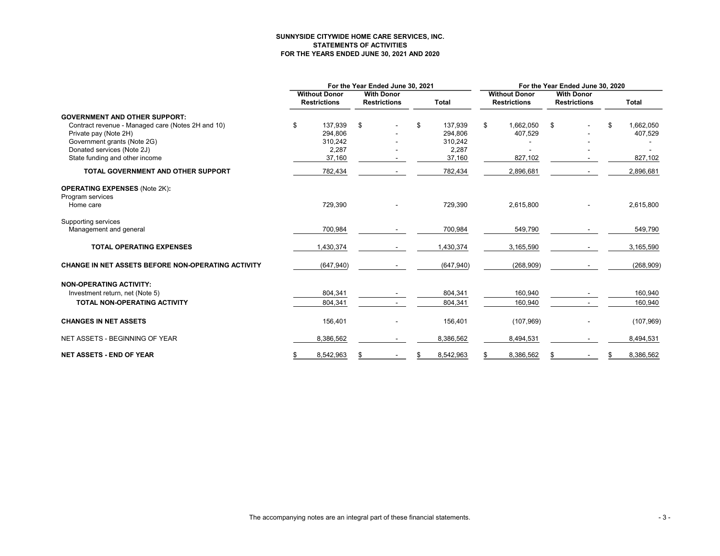#### SUNNYSIDE CITYWIDE HOME CARE SERVICES, INC. STATEMENTS OF ACTIVITIES FOR THE YEARS ENDED JUNE 30, 2021 AND 2020

|                                                           | For the Year Ended June 30, 2021 |                                             |    |                                          |    |              | For the Year Ended June 30, 2020 |                                             |    |                                          |    |              |
|-----------------------------------------------------------|----------------------------------|---------------------------------------------|----|------------------------------------------|----|--------------|----------------------------------|---------------------------------------------|----|------------------------------------------|----|--------------|
|                                                           |                                  | <b>Without Donor</b><br><b>Restrictions</b> |    | <b>With Donor</b><br><b>Restrictions</b> |    | <b>Total</b> |                                  | <b>Without Donor</b><br><b>Restrictions</b> |    | <b>With Donor</b><br><b>Restrictions</b> |    | <b>Total</b> |
| <b>GOVERNMENT AND OTHER SUPPORT:</b>                      |                                  |                                             |    |                                          |    |              |                                  |                                             |    |                                          |    |              |
| Contract revenue - Managed care (Notes 2H and 10)         | \$                               | 137.939                                     | \$ |                                          | \$ | 137,939      | \$                               | 1,662,050                                   | \$ |                                          | \$ | 1,662,050    |
| Private pay (Note 2H)                                     |                                  | 294,806                                     |    |                                          |    | 294,806      |                                  | 407,529                                     |    |                                          |    | 407,529      |
| Government grants (Note 2G)                               |                                  | 310,242                                     |    |                                          |    | 310,242      |                                  |                                             |    |                                          |    |              |
| Donated services (Note 2J)                                |                                  | 2,287                                       |    |                                          |    | 2,287        |                                  |                                             |    |                                          |    |              |
| State funding and other income                            |                                  | 37,160                                      |    |                                          |    | 37,160       |                                  | 827,102                                     |    |                                          |    | 827,102      |
| TOTAL GOVERNMENT AND OTHER SUPPORT                        |                                  | 782,434                                     |    |                                          |    | 782,434      |                                  | 2,896,681                                   |    |                                          |    | 2,896,681    |
| <b>OPERATING EXPENSES (Note 2K):</b>                      |                                  |                                             |    |                                          |    |              |                                  |                                             |    |                                          |    |              |
| Program services                                          |                                  |                                             |    |                                          |    |              |                                  |                                             |    |                                          |    |              |
| Home care                                                 |                                  | 729,390                                     |    |                                          |    | 729,390      |                                  | 2,615,800                                   |    |                                          |    | 2,615,800    |
| Supporting services                                       |                                  |                                             |    |                                          |    |              |                                  |                                             |    |                                          |    |              |
| Management and general                                    |                                  | 700,984                                     |    |                                          |    | 700,984      |                                  | 549,790                                     |    |                                          |    | 549,790      |
| <b>TOTAL OPERATING EXPENSES</b>                           |                                  | 1,430,374                                   |    |                                          |    | 1,430,374    |                                  | 3,165,590                                   |    |                                          |    | 3,165,590    |
| <b>CHANGE IN NET ASSETS BEFORE NON-OPERATING ACTIVITY</b> |                                  | (647, 940)                                  |    |                                          |    | (647, 940)   |                                  | (268, 909)                                  |    |                                          |    | (268, 909)   |
| <b>NON-OPERATING ACTIVITY:</b>                            |                                  |                                             |    |                                          |    |              |                                  |                                             |    |                                          |    |              |
| Investment return, net (Note 5)                           |                                  | 804,341                                     |    |                                          |    | 804,341      |                                  | 160,940                                     |    |                                          |    | 160,940      |
| <b>TOTAL NON-OPERATING ACTIVITY</b>                       |                                  | 804,341                                     |    |                                          |    | 804,341      |                                  | 160,940                                     |    |                                          |    | 160,940      |
| <b>CHANGES IN NET ASSETS</b>                              |                                  | 156,401                                     |    |                                          |    | 156,401      |                                  | (107, 969)                                  |    |                                          |    | (107, 969)   |
| NET ASSETS - BEGINNING OF YEAR                            |                                  | 8,386,562                                   |    |                                          |    | 8,386,562    |                                  | 8,494,531                                   |    |                                          |    | 8,494,531    |
| <b>NET ASSETS - END OF YEAR</b>                           | \$                               | 8,542,963                                   | \$ |                                          | \$ | 8,542,963    | \$.                              | 8,386,562                                   | \$ |                                          | \$ | 8,386,562    |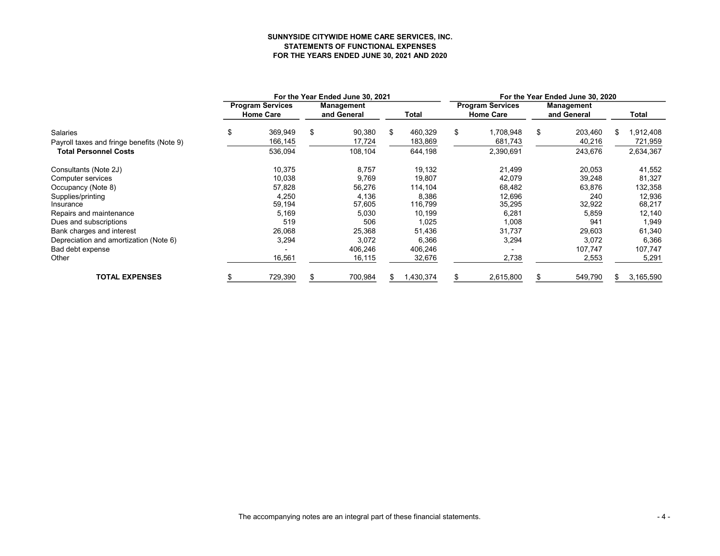#### SUNNYSIDE CITYWIDE HOME CARE SERVICES, INC. STATEMENTS OF FUNCTIONAL EXPENSES FOR THE YEARS ENDED JUNE 30, 2021 AND 2020

|                                            | For the Year Ended June 30, 2021            |         |                           |         |       | For the Year Ended June 30, 2020 |                                             |           |                                  |         |    |           |
|--------------------------------------------|---------------------------------------------|---------|---------------------------|---------|-------|----------------------------------|---------------------------------------------|-----------|----------------------------------|---------|----|-----------|
|                                            | <b>Program Services</b><br><b>Home Care</b> |         | Management<br>and General |         | Total |                                  | <b>Program Services</b><br><b>Home Care</b> |           | <b>Management</b><br>and General |         |    | Total     |
| <b>Salaries</b>                            | \$                                          | 369,949 | \$                        | 90,380  | \$    | 460,329                          | \$                                          | 1,708,948 | \$                               | 203,460 | S. | 1,912,408 |
| Payroll taxes and fringe benefits (Note 9) |                                             | 166,145 |                           | 17,724  |       | 183,869                          |                                             | 681,743   |                                  | 40,216  |    | 721,959   |
| <b>Total Personnel Costs</b>               |                                             | 536,094 |                           | 108,104 |       | 644,198                          |                                             | 2,390,691 |                                  | 243,676 |    | 2,634,367 |
| Consultants (Note 2J)                      |                                             | 10,375  |                           | 8,757   |       | 19,132                           |                                             | 21,499    |                                  | 20,053  |    | 41,552    |
| Computer services                          |                                             | 10,038  |                           | 9,769   |       | 19,807                           |                                             | 42,079    |                                  | 39,248  |    | 81,327    |
| Occupancy (Note 8)                         |                                             | 57,828  |                           | 56,276  |       | 114,104                          |                                             | 68,482    |                                  | 63,876  |    | 132,358   |
| Supplies/printing                          |                                             | 4,250   |                           | 4.136   |       | 8,386                            |                                             | 12,696    |                                  | 240     |    | 12,936    |
| Insurance                                  |                                             | 59,194  |                           | 57,605  |       | 116,799                          |                                             | 35,295    |                                  | 32,922  |    | 68,217    |
| Repairs and maintenance                    |                                             | 5,169   |                           | 5,030   |       | 10,199                           |                                             | 6,281     |                                  | 5,859   |    | 12,140    |
| Dues and subscriptions                     |                                             | 519     |                           | 506     |       | 1,025                            |                                             | 1,008     |                                  | 941     |    | 1,949     |
| Bank charges and interest                  |                                             | 26,068  |                           | 25,368  |       | 51,436                           |                                             | 31,737    |                                  | 29,603  |    | 61,340    |
| Depreciation and amortization (Note 6)     |                                             | 3,294   |                           | 3,072   |       | 6,366                            |                                             | 3,294     |                                  | 3,072   |    | 6,366     |
| Bad debt expense                           |                                             |         |                           | 406,246 |       | 406,246                          |                                             |           |                                  | 107,747 |    | 107,747   |
| Other                                      |                                             | 16,561  |                           | 16,115  |       | 32,676                           |                                             | 2,738     |                                  | 2,553   |    | 5,291     |
| <b>TOTAL EXPENSES</b>                      |                                             | 729,390 |                           | 700,984 | \$    | 430,374                          |                                             | 2,615,800 | S                                | 549,790 |    | 3,165,590 |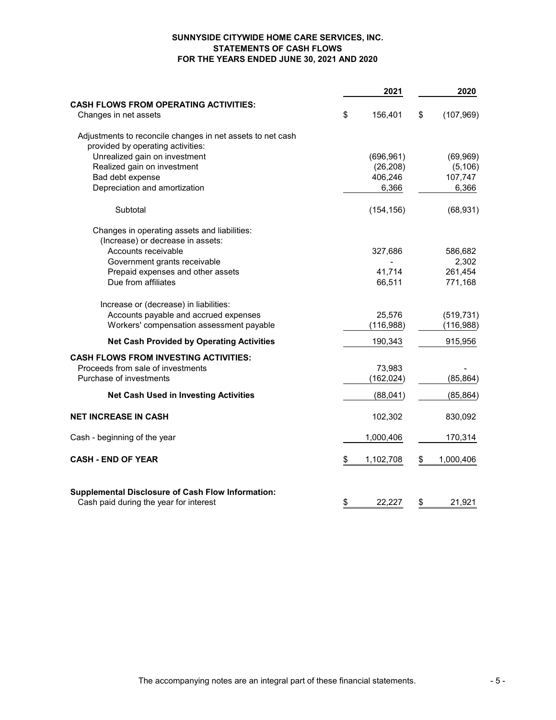# SUNNYSIDE CITYWIDE HOME CARE SERVICES, INC. STATEMENTS OF CASH FLOWS FOR THE YEARS ENDED JUNE 30, 2021 AND 2020

|                                                                                                 | 2021            | 2020             |
|-------------------------------------------------------------------------------------------------|-----------------|------------------|
| <b>CASH FLOWS FROM OPERATING ACTIVITIES:</b>                                                    |                 |                  |
| Changes in net assets                                                                           | \$<br>156,401   | \$<br>(107, 969) |
| Adjustments to reconcile changes in net assets to net cash<br>provided by operating activities: |                 |                  |
| Unrealized gain on investment                                                                   | (696, 961)      | (69, 969)        |
| Realized gain on investment                                                                     | (26, 208)       | (5, 106)         |
| Bad debt expense                                                                                | 406,246         | 107,747          |
| Depreciation and amortization                                                                   | 6,366           | 6,366            |
| Subtotal                                                                                        | (154, 156)      | (68, 931)        |
| Changes in operating assets and liabilities:<br>(Increase) or decrease in assets:               |                 |                  |
| Accounts receivable                                                                             | 327,686         | 586,682          |
| Government grants receivable                                                                    |                 | 2,302            |
| Prepaid expenses and other assets                                                               | 41,714          | 261,454          |
| Due from affiliates                                                                             | 66,511          | 771,168          |
| Increase or (decrease) in liabilities:                                                          |                 |                  |
| Accounts payable and accrued expenses                                                           | 25,576          | (519, 731)       |
| Workers' compensation assessment payable                                                        | (116, 988)      | (116,988)        |
| <b>Net Cash Provided by Operating Activities</b>                                                | 190,343         | 915,956          |
| <b>CASH FLOWS FROM INVESTING ACTIVITIES:</b>                                                    |                 |                  |
| Proceeds from sale of investments<br>Purchase of investments                                    | 73,983          |                  |
|                                                                                                 | (162, 024)      | (85, 864)        |
| <b>Net Cash Used in Investing Activities</b>                                                    | (88,041)        | (85, 864)        |
| <b>NET INCREASE IN CASH</b>                                                                     | 102,302         | 830,092          |
| Cash - beginning of the year                                                                    | 1,000,406       | 170,314          |
| <b>CASH - END OF YEAR</b>                                                                       | \$<br>1,102,708 | \$<br>1,000,406  |
| <b>Supplemental Disclosure of Cash Flow Information:</b>                                        |                 |                  |
| Cash paid during the year for interest                                                          | \$<br>22,227    | \$<br>21,921     |
|                                                                                                 |                 |                  |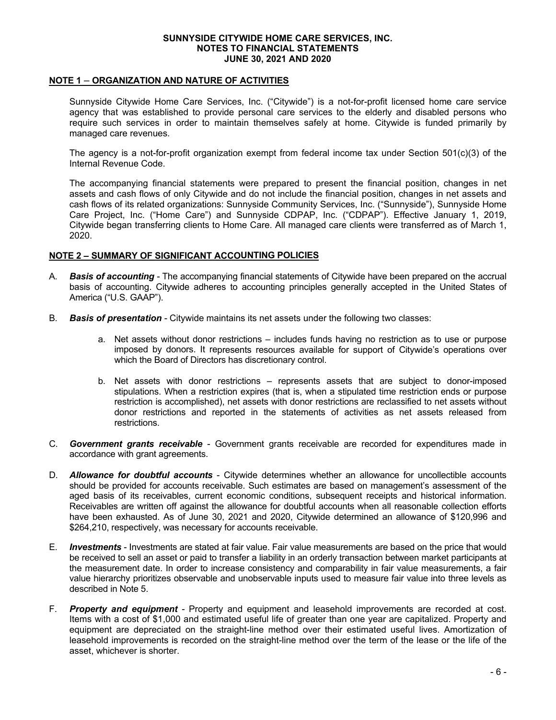### **NOTE 1** – **ORGANIZATION AND NATURE OF ACTIVITIES**

Sunnyside Citywide Home Care Services, Inc. ("Citywide") is a not-for-profit licensed home care service agency that was established to provide personal care services to the elderly and disabled persons who require such services in order to maintain themselves safely at home. Citywide is funded primarily by managed care revenues.

The agency is a not-for-profit organization exempt from federal income tax under Section 501(c)(3) of the Internal Revenue Code.

The accompanying financial statements were prepared to present the financial position, changes in net assets and cash flows of only Citywide and do not include the financial position, changes in net assets and cash flows of its related organizations: Sunnyside Community Services, Inc. ("Sunnyside"), Sunnyside Home Care Project, Inc. ("Home Care") and Sunnyside CDPAP, Inc. ("CDPAP"). Effective January 1, 2019, Citywide began transferring clients to Home Care. All managed care clients were transferred as of March 1, 2020.

# **NOTE 2 – SUMMARY OF SIGNIFICANT ACCOUNTING POLICIES**

- A. *Basis of accounting* The accompanying financial statements of Citywide have been prepared on the accrual basis of accounting. Citywide adheres to accounting principles generally accepted in the United States of America ("U.S. GAAP").
- B. *Basis of presentation* Citywide maintains its net assets under the following two classes:
	- a. Net assets without donor restrictions includes funds having no restriction as to use or purpose imposed by donors. It represents resources available for support of Citywide's operations over which the Board of Directors has discretionary control.
	- b. Net assets with donor restrictions represents assets that are subject to donor-imposed stipulations. When a restriction expires (that is, when a stipulated time restriction ends or purpose restriction is accomplished), net assets with donor restrictions are reclassified to net assets without donor restrictions and reported in the statements of activities as net assets released from restrictions.
- C. *Government grants receivable*  Government grants receivable are recorded for expenditures made in accordance with grant agreements.
- D. *Allowance for doubtful accounts*  Citywide determines whether an allowance for uncollectible accounts should be provided for accounts receivable. Such estimates are based on management's assessment of the aged basis of its receivables, current economic conditions, subsequent receipts and historical information. Receivables are written off against the allowance for doubtful accounts when all reasonable collection efforts have been exhausted. As of June 30, 2021 and 2020, Citywide determined an allowance of \$120,996 and \$264,210, respectively, was necessary for accounts receivable.
- E. *Investments* Investments are stated at fair value. Fair value measurements are based on the price that would be received to sell an asset or paid to transfer a liability in an orderly transaction between market participants at the measurement date. In order to increase consistency and comparability in fair value measurements, a fair value hierarchy prioritizes observable and unobservable inputs used to measure fair value into three levels as described in Note 5.
- F. *Property and equipment* Property and equipment and leasehold improvements are recorded at cost. Items with a cost of \$1,000 and estimated useful life of greater than one year are capitalized. Property and equipment are depreciated on the straight-line method over their estimated useful lives. Amortization of leasehold improvements is recorded on the straight-line method over the term of the lease or the life of the asset, whichever is shorter.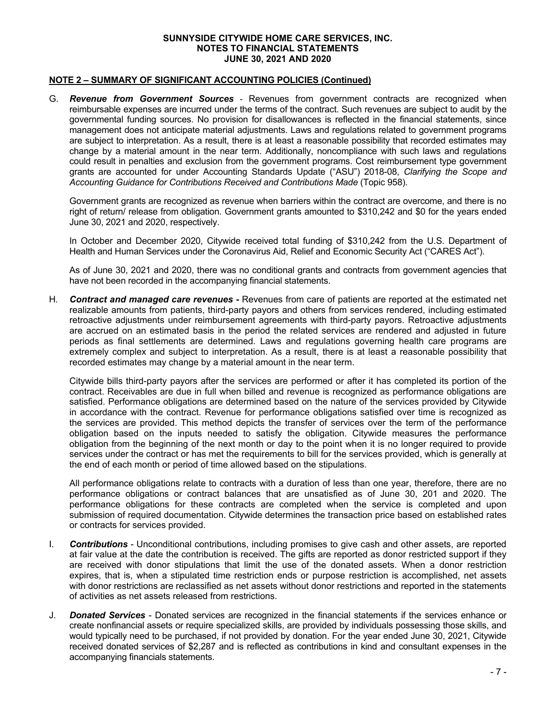# **NOTE 2 – SUMMARY OF SIGNIFICANT ACCOUNTING POLICIES (Continued)**

G. *Revenue from Government Sources* - Revenues from government contracts are recognized when reimbursable expenses are incurred under the terms of the contract. Such revenues are subject to audit by the governmental funding sources. No provision for disallowances is reflected in the financial statements, since management does not anticipate material adjustments. Laws and regulations related to government programs are subject to interpretation. As a result, there is at least a reasonable possibility that recorded estimates may change by a material amount in the near term. Additionally, noncompliance with such laws and regulations could result in penalties and exclusion from the government programs. Cost reimbursement type government grants are accounted for under Accounting Standards Update ("ASU") 2018-08, *Clarifying the Scope and Accounting Guidance for Contributions Received and Contributions Made* (Topic 958).

Government grants are recognized as revenue when barriers within the contract are overcome, and there is no right of return/ release from obligation. Government grants amounted to \$310,242 and \$0 for the years ended June 30, 2021 and 2020, respectively.

In October and December 2020, Citywide received total funding of \$310,242 from the U.S. Department of Health and Human Services under the Coronavirus Aid, Relief and Economic Security Act ("CARES Act").

As of June 30, 2021 and 2020, there was no conditional grants and contracts from government agencies that have not been recorded in the accompanying financial statements.

H. *Contract and managed care revenues* **-** Revenues from care of patients are reported at the estimated net realizable amounts from patients, third-party payors and others from services rendered, including estimated retroactive adjustments under reimbursement agreements with third-party payors. Retroactive adjustments are accrued on an estimated basis in the period the related services are rendered and adjusted in future periods as final settlements are determined. Laws and regulations governing health care programs are extremely complex and subject to interpretation. As a result, there is at least a reasonable possibility that recorded estimates may change by a material amount in the near term.

Citywide bills third-party payors after the services are performed or after it has completed its portion of the contract. Receivables are due in full when billed and revenue is recognized as performance obligations are satisfied. Performance obligations are determined based on the nature of the services provided by Citywide in accordance with the contract. Revenue for performance obligations satisfied over time is recognized as the services are provided. This method depicts the transfer of services over the term of the performance obligation based on the inputs needed to satisfy the obligation. Citywide measures the performance obligation from the beginning of the next month or day to the point when it is no longer required to provide services under the contract or has met the requirements to bill for the services provided, which is generally at the end of each month or period of time allowed based on the stipulations.

All performance obligations relate to contracts with a duration of less than one year, therefore, there are no performance obligations or contract balances that are unsatisfied as of June 30, 201 and 2020. The performance obligations for these contracts are completed when the service is completed and upon submission of required documentation. Citywide determines the transaction price based on established rates or contracts for services provided.

- I. *Contributions*  Unconditional contributions, including promises to give cash and other assets, are reported at fair value at the date the contribution is received. The gifts are reported as donor restricted support if they are received with donor stipulations that limit the use of the donated assets. When a donor restriction expires, that is, when a stipulated time restriction ends or purpose restriction is accomplished, net assets with donor restrictions are reclassified as net assets without donor restrictions and reported in the statements of activities as net assets released from restrictions.
- J. *Donated Services* Donated services are recognized in the financial statements if the services enhance or create nonfinancial assets or require specialized skills, are provided by individuals possessing those skills, and would typically need to be purchased, if not provided by donation. For the year ended June 30, 2021, Citywide received donated services of \$2,287 and is reflected as contributions in kind and consultant expenses in the accompanying financials statements.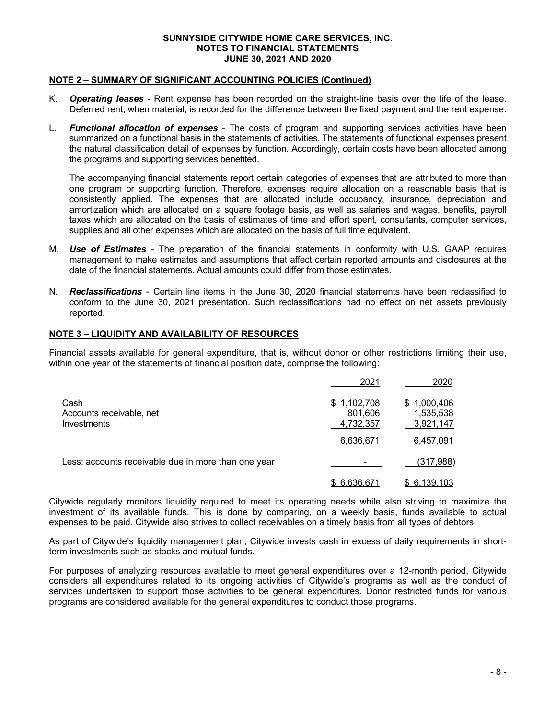# **NOTE 2 – SUMMARY OF SIGNIFICANT ACCOUNTING POLICIES (Continued)**

- K. *Operating leases* Rent expense has been recorded on the straight-line basis over the life of the lease. Deferred rent, when material, is recorded for the difference between the fixed payment and the rent expense.
- L. *Functional allocation of expenses* The costs of program and supporting services activities have been summarized on a functional basis in the statements of activities. The statements of functional expenses present the natural classification detail of expenses by function. Accordingly, certain costs have been allocated among the programs and supporting services benefited.

The accompanying financial statements report certain categories of expenses that are attributed to more than one program or supporting function. Therefore, expenses require allocation on a reasonable basis that is consistently applied. The expenses that are allocated include occupancy, insurance, depreciation and amortization which are allocated on a square footage basis, as well as salaries and wages, benefits, payroll taxes which are allocated on the basis of estimates of time and effort spent, consultants, computer services, supplies and all other expenses which are allocated on the basis of full time equivalent.

- M. *Use of Estimates* The preparation of the financial statements in conformity with U.S. GAAP requires management to make estimates and assumptions that affect certain reported amounts and disclosures at the date of the financial statements. Actual amounts could differ from those estimates.
- N. *Reclassifications*  Certain line items in the June 30, 2020 financial statements have been reclassified to conform to the June 30, 2021 presentation. Such reclassifications had no effect on net assets previously reported.

# **NOTE 3 – LIQUIDITY AND AVAILABILITY OF RESOURCES**

Financial assets available for general expenditure, that is, without donor or other restrictions limiting their use, within one year of the statements of financial position date, comprise the following:

|                                                     | 2021                                | 2020                                  |
|-----------------------------------------------------|-------------------------------------|---------------------------------------|
| Cash<br>Accounts receivable, net<br>Investments     | \$1,102,708<br>801,606<br>4,732,357 | \$1,000,406<br>1,535,538<br>3,921,147 |
|                                                     | 6,636,671                           | 6,457,091                             |
| Less: accounts receivable due in more than one year |                                     | (317,988)                             |
|                                                     | <u>6,636,671</u>                    | 6,139,103                             |

Citywide regularly monitors liquidity required to meet its operating needs while also striving to maximize the investment of its available funds. This is done by comparing, on a weekly basis, funds available to actual expenses to be paid. Citywide also strives to collect receivables on a timely basis from all types of debtors.

As part of Citywide's liquidity management plan, Citywide invests cash in excess of daily requirements in shortterm investments such as stocks and mutual funds.

For purposes of analyzing resources available to meet general expenditures over a 12-month period, Citywide considers all expenditures related to its ongoing activities of Citywide's programs as well as the conduct of services undertaken to support those activities to be general expenditures. Donor restricted funds for various programs are considered available for the general expenditures to conduct those programs.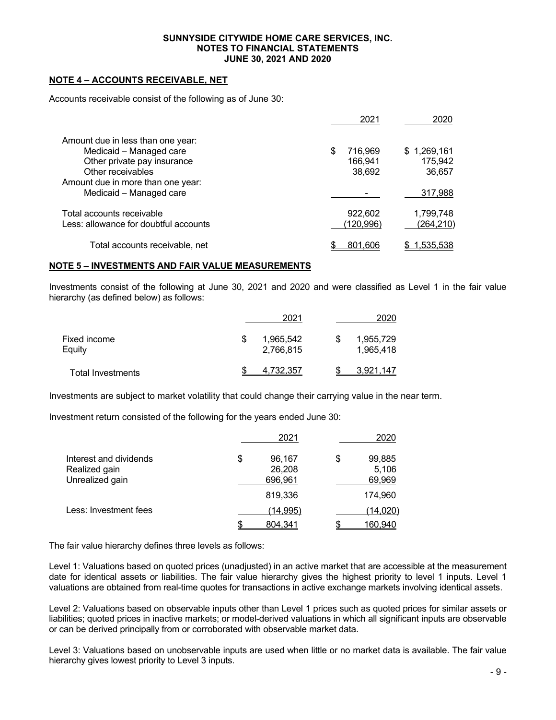# **NOTE 4 – ACCOUNTS RECEIVABLE, NET**

Accounts receivable consist of the following as of June 30:

|                                       | 2021         | 2020        |
|---------------------------------------|--------------|-------------|
| Amount due in less than one year:     |              |             |
| Medicaid - Managed care               | S<br>716,969 | \$1,269,161 |
| Other private pay insurance           | 166.941      | 175,942     |
| Other receivables                     | 38,692       | 36,657      |
| Amount due in more than one year:     |              |             |
| Medicaid – Managed care               |              | 317,988     |
| Total accounts receivable             | 922,602      | 1,799,748   |
| Less: allowance for doubtful accounts | (120,996)    | (264, 210)  |
| Total accounts receivable, net        | 801.606      | 1.535,538   |
|                                       |              |             |

#### **NOTE 5 – INVESTMENTS AND FAIR VALUE MEASUREMENTS**

Investments consist of the following at June 30, 2021 and 2020 and were classified as Level 1 in the fair value hierarchy (as defined below) as follows:

|                        |   | 2021                   | 2020                   |
|------------------------|---|------------------------|------------------------|
| Fixed income<br>Equity | S | 1,965,542<br>2,766,815 | 1,955,729<br>1,965,418 |
| Total Investments      |   | 4.732.357              | 3,921,147              |

Investments are subject to market volatility that could change their carrying value in the near term.

Investment return consisted of the following for the years ended June 30:

|                                                            | 2021                              |   | 2020                      |
|------------------------------------------------------------|-----------------------------------|---|---------------------------|
| Interest and dividends<br>Realized gain<br>Unrealized gain | \$<br>96,167<br>26,208<br>696,961 | S | 99,885<br>5,106<br>69,969 |
|                                                            | 819,336                           |   | 174,960                   |
| Less: Investment fees                                      | <u>(14,995)</u>                   |   | <u>(14,020)</u>           |
|                                                            | 804,341                           |   | 160,940                   |

The fair value hierarchy defines three levels as follows:

Level 1: Valuations based on quoted prices (unadjusted) in an active market that are accessible at the measurement date for identical assets or liabilities. The fair value hierarchy gives the highest priority to level 1 inputs. Level 1 valuations are obtained from real-time quotes for transactions in active exchange markets involving identical assets.

Level 2: Valuations based on observable inputs other than Level 1 prices such as quoted prices for similar assets or liabilities; quoted prices in inactive markets; or model-derived valuations in which all significant inputs are observable or can be derived principally from or corroborated with observable market data.

Level 3: Valuations based on unobservable inputs are used when little or no market data is available. The fair value hierarchy gives lowest priority to Level 3 inputs.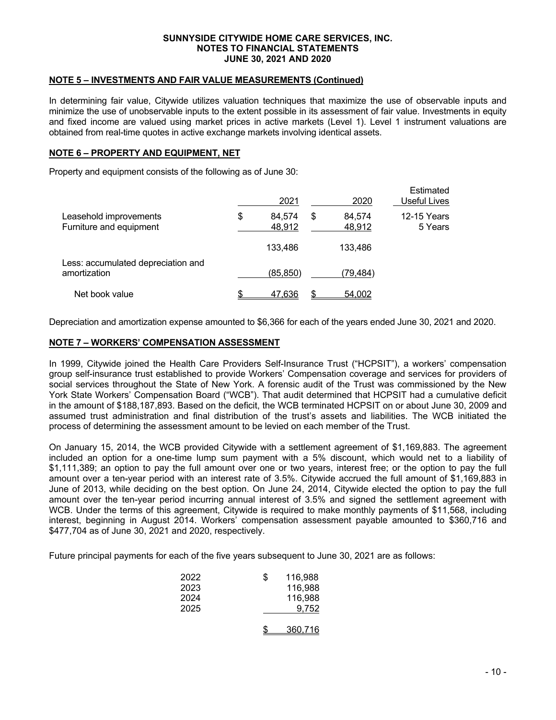### **NOTE 5 – INVESTMENTS AND FAIR VALUE MEASUREMENTS (Continued)**

In determining fair value, Citywide utilizes valuation techniques that maximize the use of observable inputs and minimize the use of unobservable inputs to the extent possible in its assessment of fair value. Investments in equity and fixed income are valued using market prices in active markets (Level 1). Level 1 instrument valuations are obtained from real-time quotes in active exchange markets involving identical assets.

## **NOTE 6 – PROPERTY AND EQUIPMENT, NET**

Property and equipment consists of the following as of June 30:

|                                                    | 2021                   |   | 2020             | Estimated<br>Useful Lives     |
|----------------------------------------------------|------------------------|---|------------------|-------------------------------|
| Leasehold improvements<br>Furniture and equipment  | \$<br>84,574<br>48,912 | S | 84,574<br>48,912 | <b>12-15 Years</b><br>5 Years |
|                                                    | 133,486                |   | 133,486          |                               |
| Less: accumulated depreciation and<br>amortization | (85, 850)              |   | (79,484)         |                               |
| Net book value                                     | \$<br><u>47,636</u>    |   | 54,002           |                               |

Depreciation and amortization expense amounted to \$6,366 for each of the years ended June 30, 2021 and 2020.

# **NOTE 7 – WORKERS' COMPENSATION ASSESSMENT**

In 1999, Citywide joined the Health Care Providers Self-Insurance Trust ("HCPSIT"), a workers' compensation group self-insurance trust established to provide Workers' Compensation coverage and services for providers of social services throughout the State of New York. A forensic audit of the Trust was commissioned by the New York State Workers' Compensation Board ("WCB"). That audit determined that HCPSIT had a cumulative deficit in the amount of \$188,187,893. Based on the deficit, the WCB terminated HCPSIT on or about June 30, 2009 and assumed trust administration and final distribution of the trust's assets and liabilities. The WCB initiated the process of determining the assessment amount to be levied on each member of the Trust.

On January 15, 2014, the WCB provided Citywide with a settlement agreement of \$1,169,883. The agreement included an option for a one-time lump sum payment with a 5% discount, which would net to a liability of \$1,111,389; an option to pay the full amount over one or two years, interest free; or the option to pay the full amount over a ten-year period with an interest rate of 3.5%. Citywide accrued the full amount of \$1,169,883 in June of 2013, while deciding on the best option. On June 24, 2014, Citywide elected the option to pay the full amount over the ten-year period incurring annual interest of 3.5% and signed the settlement agreement with WCB. Under the terms of this agreement, Citywide is required to make monthly payments of \$11,568, including interest, beginning in August 2014. Workers' compensation assessment payable amounted to \$360,716 and \$477,704 as of June 30, 2021 and 2020, respectively.

Future principal payments for each of the five years subsequent to June 30, 2021 are as follows:

| 2022 | \$<br>116,988 |
|------|---------------|
| 2023 | 116,988       |
| 2024 | 116,988       |
| 2025 | 9.752         |
|      |               |
|      | 360.716       |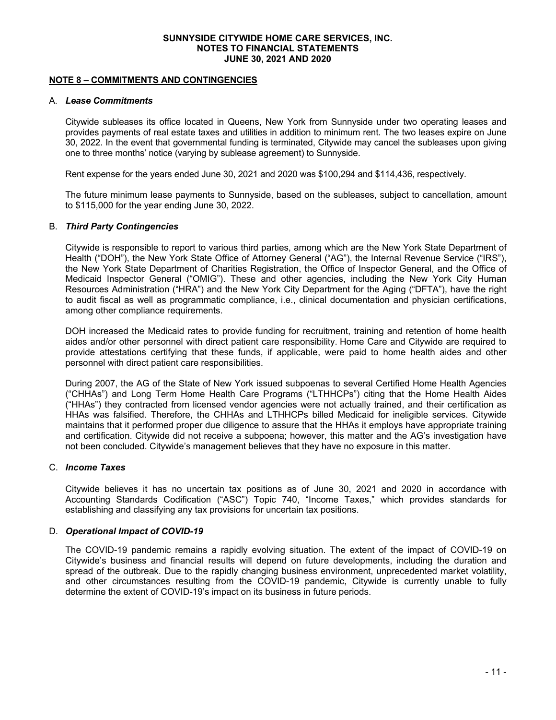## **NOTE 8 – COMMITMENTS AND CONTINGENCIES**

#### A. *Lease Commitments*

Citywide subleases its office located in Queens, New York from Sunnyside under two operating leases and provides payments of real estate taxes and utilities in addition to minimum rent. The two leases expire on June 30, 2022. In the event that governmental funding is terminated, Citywide may cancel the subleases upon giving one to three months' notice (varying by sublease agreement) to Sunnyside.

Rent expense for the years ended June 30, 2021 and 2020 was \$100,294 and \$114,436, respectively.

The future minimum lease payments to Sunnyside, based on the subleases, subject to cancellation, amount to \$115,000 for the year ending June 30, 2022.

#### B. *Third Party Contingencies*

Citywide is responsible to report to various third parties, among which are the New York State Department of Health ("DOH"), the New York State Office of Attorney General ("AG"), the Internal Revenue Service ("IRS"), the New York State Department of Charities Registration, the Office of Inspector General, and the Office of Medicaid Inspector General ("OMIG"). These and other agencies, including the New York City Human Resources Administration ("HRA") and the New York City Department for the Aging ("DFTA"), have the right to audit fiscal as well as programmatic compliance, i.e., clinical documentation and physician certifications, among other compliance requirements.

DOH increased the Medicaid rates to provide funding for recruitment, training and retention of home health aides and/or other personnel with direct patient care responsibility. Home Care and Citywide are required to provide attestations certifying that these funds, if applicable, were paid to home health aides and other personnel with direct patient care responsibilities.

During 2007, the AG of the State of New York issued subpoenas to several Certified Home Health Agencies ("CHHAs") and Long Term Home Health Care Programs ("LTHHCPs") citing that the Home Health Aides ("HHAs") they contracted from licensed vendor agencies were not actually trained, and their certification as HHAs was falsified. Therefore, the CHHAs and LTHHCPs billed Medicaid for ineligible services. Citywide maintains that it performed proper due diligence to assure that the HHAs it employs have appropriate training and certification. Citywide did not receive a subpoena; however, this matter and the AG's investigation have not been concluded. Citywide's management believes that they have no exposure in this matter.

#### C. *Income Taxes*

Citywide believes it has no uncertain tax positions as of June 30, 2021 and 2020 in accordance with Accounting Standards Codification ("ASC") Topic 740, "Income Taxes," which provides standards for establishing and classifying any tax provisions for uncertain tax positions.

#### D. *Operational Impact of COVID-19*

The COVID-19 pandemic remains a rapidly evolving situation. The extent of the impact of COVID-19 on Citywide's business and financial results will depend on future developments, including the duration and spread of the outbreak. Due to the rapidly changing business environment, unprecedented market volatility, and other circumstances resulting from the COVID-19 pandemic, Citywide is currently unable to fully determine the extent of COVID-19's impact on its business in future periods.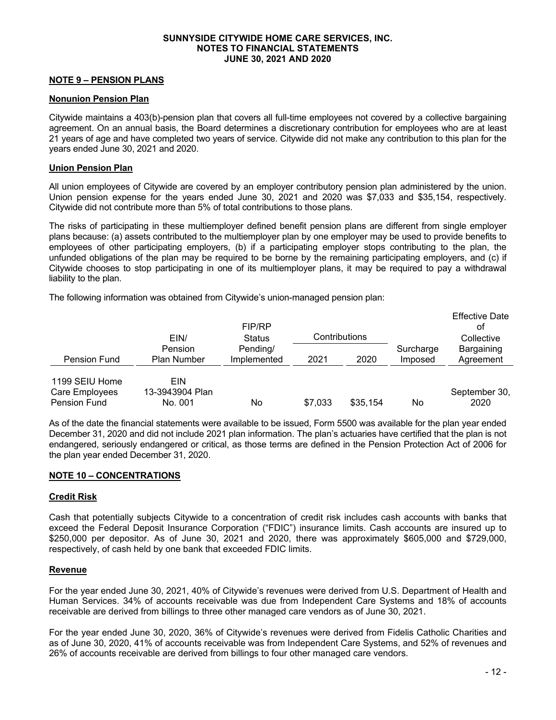# **NOTE 9 – PENSION PLANS**

#### **Nonunion Pension Plan**

Citywide maintains a 403(b)-pension plan that covers all full-time employees not covered by a collective bargaining agreement. On an annual basis, the Board determines a discretionary contribution for employees who are at least 21 years of age and have completed two years of service. Citywide did not make any contribution to this plan for the years ended June 30, 2021 and 2020.

# **Union Pension Plan**

All union employees of Citywide are covered by an employer contributory pension plan administered by the union. Union pension expense for the years ended June 30, 2021 and 2020 was \$7,033 and \$35,154, respectively. Citywide did not contribute more than 5% of total contributions to those plans.

The risks of participating in these multiemployer defined benefit pension plans are different from single employer plans because: (a) assets contributed to the multiemployer plan by one employer may be used to provide benefits to employees of other participating employers, (b) if a participating employer stops contributing to the plan, the unfunded obligations of the plan may be required to be borne by the remaining participating employers, and (c) if Citywide chooses to stop participating in one of its multiemployer plans, it may be required to pay a withdrawal liability to the plan.

The following information was obtained from Citywide's union-managed pension plan:

|                                                         | EIN/                              |                         |         | Contributions |                      | <b>Effective Date</b><br>οf<br>Collective |
|---------------------------------------------------------|-----------------------------------|-------------------------|---------|---------------|----------------------|-------------------------------------------|
| Pension Fund                                            | Pension<br><b>Plan Number</b>     | Pending/<br>Implemented | 2021    | 2020          | Surcharge<br>Imposed | Bargaining<br>Agreement                   |
| 1199 SEIU Home<br>Care Employees<br><b>Pension Fund</b> | EIN<br>13-3943904 Plan<br>No. 001 | No                      | \$7,033 | \$35,154      | No                   | September 30,<br>2020                     |

As of the date the financial statements were available to be issued, Form 5500 was available for the plan year ended December 31, 2020 and did not include 2021 plan information. The plan's actuaries have certified that the plan is not endangered, seriously endangered or critical, as those terms are defined in the Pension Protection Act of 2006 for the plan year ended December 31, 2020.

#### **NOTE 10 – CONCENTRATIONS**

# **Credit Risk**

Cash that potentially subjects Citywide to a concentration of credit risk includes cash accounts with banks that exceed the Federal Deposit Insurance Corporation ("FDIC") insurance limits. Cash accounts are insured up to \$250,000 per depositor. As of June 30, 2021 and 2020, there was approximately \$605,000 and \$729,000, respectively, of cash held by one bank that exceeded FDIC limits.

#### **Revenue**

For the year ended June 30, 2021, 40% of Citywide's revenues were derived from U.S. Department of Health and Human Services. 34% of accounts receivable was due from Independent Care Systems and 18% of accounts receivable are derived from billings to three other managed care vendors as of June 30, 2021.

For the year ended June 30, 2020, 36% of Citywide's revenues were derived from Fidelis Catholic Charities and as of June 30, 2020, 41% of accounts receivable was from Independent Care Systems, and 52% of revenues and 26% of accounts receivable are derived from billings to four other managed care vendors.